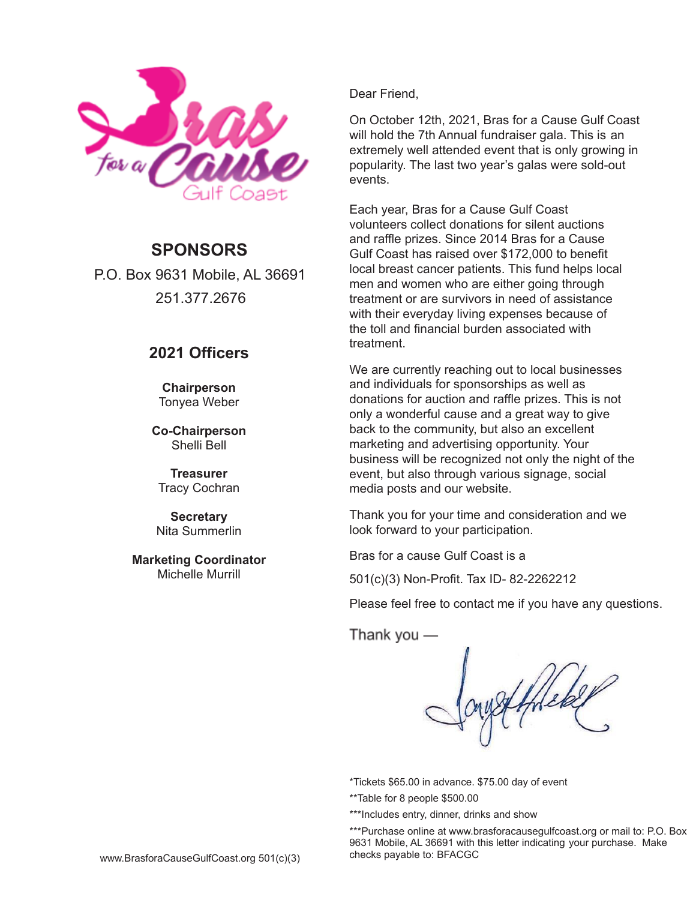

### **SPONSORS**

P.O. Box 9631 Mobile, AL 36691 251.377.2676

#### **2021 Officers**

**Chairperson** Tonyea Weber

**Co-Chairperson** Shelli Bell

**Treasurer** Tracy Cochran

**Secretary** Nita Summerlin

**Marketing Coordinator** Michelle Murrill

Dear Friend,

On October 12th, 2021, Bras for a Cause Gulf Coast will hold the 7th Annual fundraiser gala. This is an extremely well attended event that is only growing in popularity. The last two year's galas were sold-out events.

Each year, Bras for a Cause Gulf Coast volunteers collect donations for silent auctions and raffle prizes. Since 2014 Bras for a Cause Gulf Coast has raised over \$172,000 to benefit local breast cancer patients. This fund helps local men and women who are either going through treatment or are survivors in need of assistance with their everyday living expenses because of the toll and financial burden associated with treatment.

We are currently reaching out to local businesses and individuals for sponsorships as well as donations for auction and raffle prizes. This is not only a wonderful cause and a great way to give back to the community, but also an excellent marketing and advertising opportunity. Your business will be recognized not only the night of the event, but also through various signage, social media posts and our website.

Thank you for your time and consideration and we look forward to your participation.

Bras for a cause Gulf Coast is a

501(c)(3) Non-Profit. Tax ID- 82-2262212

Please feel free to contact me if you have any questions.

Thank you —

\*Tickets \$65.00 in advance. \$75.00 day of event

\*\*Table for 8 people \$500.00

\*\*\*Includes entry, dinner, drinks and show

\*\*\*Purchase online at [www.brasforacausegulfcoast.org](http://www.brasforacausegulfcoast.org/) or mail to: P.O. Box 9631 Mobile, AL 36691 with this letter indicating your purchase. Make checks payable to: BFACGC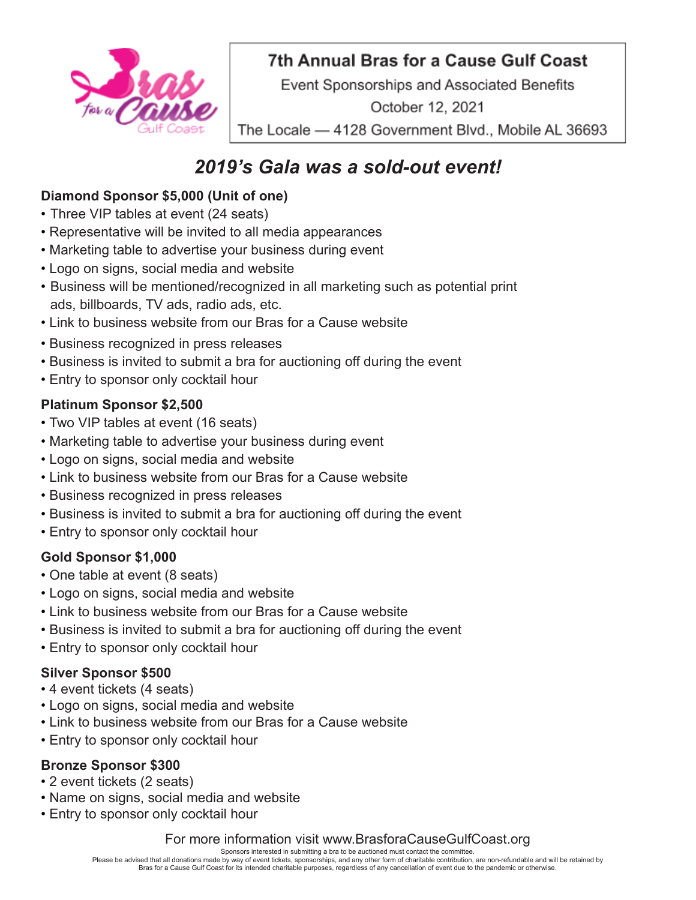

Event Sponsorships and Associated Benefits

October 12, 2021

The Locale - 4128 Government Blvd., Mobile AL 36693

# *2019's Gala was a sold-out event!*

## **Diamond Sponsor \$5,000 (Unit of one)**

- Three VIP tables at event (24 seats)
- Representative will be invited to all media appearances
- Marketing table to advertise your business during event
- Logo on signs, social media and website
- Business will be mentioned/recognized in all marketing such as potential print ads, billboards, TV ads, radio ads, etc.
- Link to business website from our Bras for a Cause website
- Business recognized in press releases
- Business is invited to submit a bra for auctioning off during the event
- Entry to sponsor only cocktail hour

## **Platinum Sponsor \$2,500**

- Two VIP tables at event (16 seats)
- Marketing table to advertise your business during event
- Logo on signs, social media and website
- Link to business website from our Bras for a Cause website
- Business recognized in press releases
- Business is invited to submit a bra for auctioning off during the event
- Entry to sponsor only cocktail hour

## **Gold Sponsor \$1,000**

- One table at event (8 seats)
- Logo on signs, social media and website
- Link to business website from our Bras for a Cause website
- Business is invited to submit a bra for auctioning off during the event
- Entry to sponsor only cocktail hour

### **Silver Sponsor \$500**

- 4 event tickets (4 seats)
- Logo on signs, social media and website
- Link to business website from our Bras for a Cause website
- Entry to sponsor only cocktail hour

### **Bronze Sponsor \$300**

- 2 event tickets (2 seats)
- Name on signs, social media and website
- Entry to sponsor only cocktail hour

#### For more information visit [www.BrasforaCauseGulfCoast.org](http://www.brasforacausegulfcoast.org/)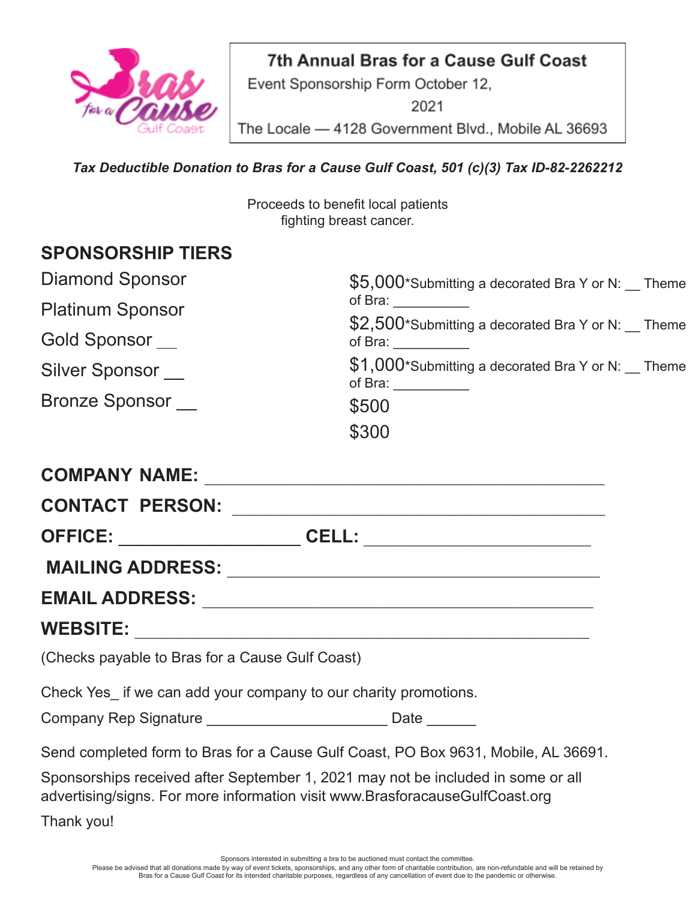

Event Sponsorship Form October 12,

2021

The Locale - 4128 Government Blvd., Mobile AL 36693

*Tax Deductible Donation to Bras for a Cause Gulf Coast, 501 (c)(3) Tax ID-82-2262212*

Proceeds to benefit local patients fighting breast cancer.

## **SPONSORSHIP TIERS**

| <b>Diamond Sponsor</b>  | \$5,000*Submitting a decorated Bra Y or N: Theme                                                                                                                                                                                                                                   |
|-------------------------|------------------------------------------------------------------------------------------------------------------------------------------------------------------------------------------------------------------------------------------------------------------------------------|
| <b>Platinum Sponsor</b> | of Bra:                                                                                                                                                                                                                                                                            |
| Gold Sponsor            | \$2,500*Submitting a decorated Bra Y or N: __ Theme<br>of Bra: $\qquad \qquad$                                                                                                                                                                                                     |
| Silver Sponsor          | \$1,000*Submitting a decorated Bra Y or N: Theme<br>of Bra: when the state of Brain and the state of Brain and the state of the state of the state of the state of the state of the state of the state of the state of the state of the state of the state of the state of the sta |
| <b>Bronze Sponsor</b>   | \$500                                                                                                                                                                                                                                                                              |
|                         | \$300                                                                                                                                                                                                                                                                              |

|                                                 | EMAIL ADDRESS: New York Contract of the Mail Address of the Mail Address of the Mail Address of the Mail Address of the Mail Address of the Mail Address of the Mail Address of the Mail Address of the Mail Address of the Ma |
|-------------------------------------------------|--------------------------------------------------------------------------------------------------------------------------------------------------------------------------------------------------------------------------------|
| WEBSITE: WEBSITE:                               |                                                                                                                                                                                                                                |
| (Checks payable to Bras for a Cause Gulf Coast) |                                                                                                                                                                                                                                |
|                                                 | Check Yes_ if we can add your company to our charity promotions.                                                                                                                                                               |
|                                                 | Company Rep Signature _____________________________ Date _______                                                                                                                                                               |
|                                                 | Send completed form to Bras for a Cause Gulf Coast, PO Box 9631, Mobile, AL 36691.                                                                                                                                             |
|                                                 | Sponsorships received after September 1, 2021 may not be included in some or all<br>advertising/signs. For more information visit www.BrasforacauseGulfCoast.org                                                               |
| Thank you!                                      |                                                                                                                                                                                                                                |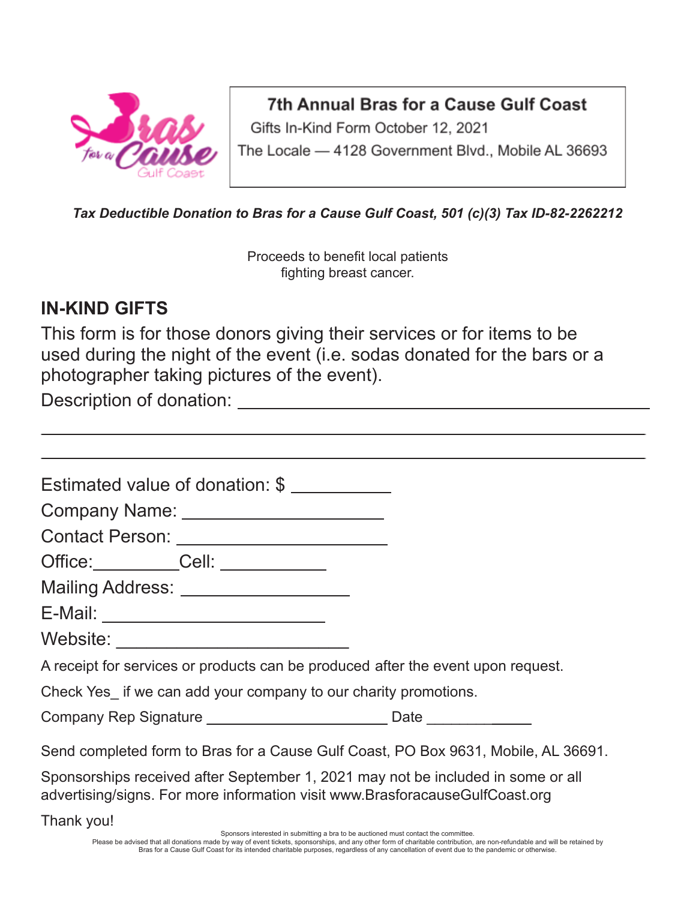

Gifts In-Kind Form October 12, 2021 The Locale - 4128 Government Blvd., Mobile AL 36693

*Tax Deductible Donation to Bras for a Cause Gulf Coast, 501 (c)(3) Tax ID-82-2262212*

Proceeds to benefit local patients fighting breast cancer.

## **IN-KIND GIFTS**

This form is for those donors giving their services or for items to be used during the night of the event (i.e. sodas donated for the bars or a photographer taking pictures of the event).

Description of donation:

| Estimated value of donation: \$                                                                                                                                  |
|------------------------------------------------------------------------------------------------------------------------------------------------------------------|
| Company Name: ______________________                                                                                                                             |
| Contact Person: ________________________                                                                                                                         |
| Office: __________Cell: ___________                                                                                                                              |
| Mailing Address: ____________________                                                                                                                            |
|                                                                                                                                                                  |
|                                                                                                                                                                  |
| A receipt for services or products can be produced after the event upon request.                                                                                 |
| Check Yes if we can add your company to our charity promotions.                                                                                                  |
|                                                                                                                                                                  |
| Send completed form to Bras for a Cause Gulf Coast, PO Box 9631, Mobile, AL 36691.                                                                               |
| Sponsorships received after September 1, 2021 may not be included in some or all<br>advertising/signs. For more information visit www.BrasforacauseGulfCoast.org |
| Thank you!                                                                                                                                                       |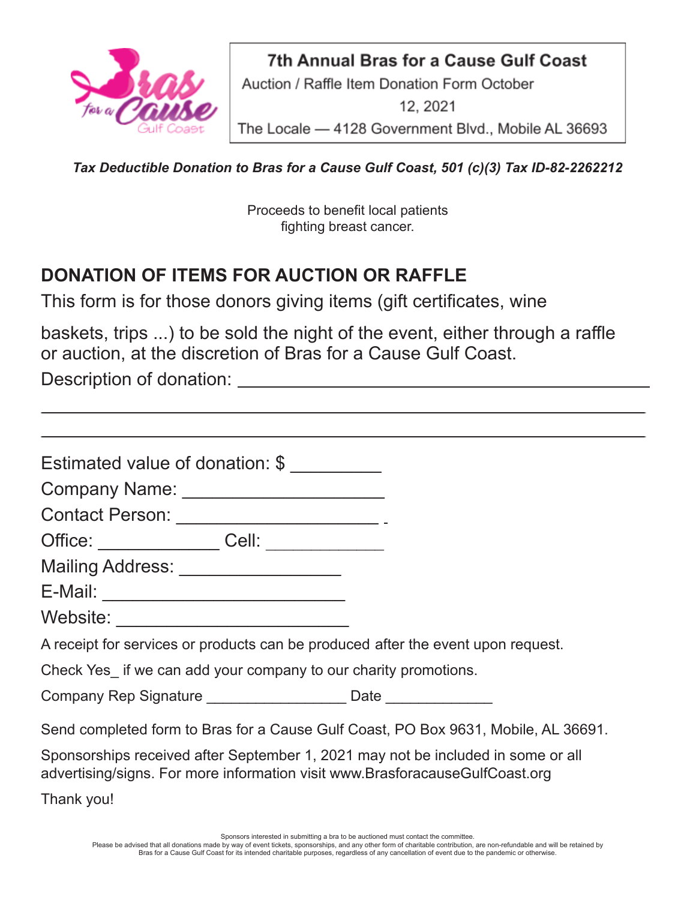

7th Annual Bras for a Cause Gulf Coast Auction / Raffle Item Donation Form October

12, 2021

The Locale - 4128 Government Blvd., Mobile AL 36693

*Tax Deductible Donation to Bras for a Cause Gulf Coast, 501 (c)(3) Tax ID-82-2262212*

Proceeds to benefit local patients fighting breast cancer.

# **DONATION OF ITEMS FOR AUCTION OR RAFFLE**

This form is for those donors giving items (gift certificates, wine

baskets, trips ...) to be sold the night of the event, either through a raffle or auction, at the discretion of Bras for a Cause Gulf Coast.

Description of donation:

| Estimated value of donation: \$                                                                                                                                  |
|------------------------------------------------------------------------------------------------------------------------------------------------------------------|
| Company Name: ________________________                                                                                                                           |
| Contact Person: _________________________________                                                                                                                |
|                                                                                                                                                                  |
| Mailing Address: ___________________                                                                                                                             |
|                                                                                                                                                                  |
|                                                                                                                                                                  |
| A receipt for services or products can be produced after the event upon request.                                                                                 |
| Check Yes if we can add your company to our charity promotions.                                                                                                  |
| Company Rep Signature _________________________ Date ______________                                                                                              |
| Send completed form to Bras for a Cause Gulf Coast, PO Box 9631, Mobile, AL 36691.                                                                               |
| Sponsorships received after September 1, 2021 may not be included in some or all<br>advertising/signs. For more information visit www.BrasforacauseGulfCoast.org |
|                                                                                                                                                                  |
|                                                                                                                                                                  |

Sponsors interested in submitting a bra to be auctioned must contact the committee.

Please be advised that all donations made by way of event tickets, sponsorships, and any other form of charitable contribution, are non-refundable and will be retained by<br>Bras for a Cause Gulf Coast for its intended charit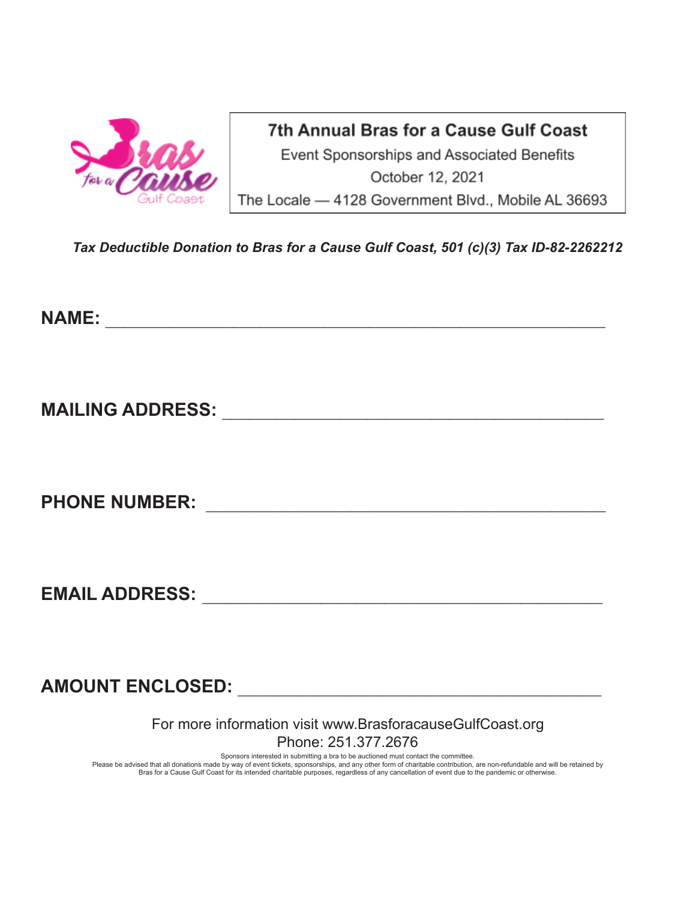

Event Sponsorships and Associated Benefits October 12, 2021 The Locale - 4128 Government Blvd., Mobile AL 36693

*Tax Deductible Donation to Bras for a Cause Gulf Coast, 501 (c)(3) Tax ID-82-2262212*

**NAME:**  $\blacksquare$ 

**MAILING ADDRESS:** \_\_\_\_\_\_\_\_\_\_\_\_\_\_\_\_\_\_\_\_\_\_\_\_\_\_\_\_\_\_\_\_\_\_\_\_\_\_\_\_\_\_

**PHONE NUMBER:** \_\_\_\_\_\_\_\_\_\_\_\_\_\_\_\_\_\_\_\_\_\_\_\_\_\_\_\_\_\_\_\_\_\_\_\_\_\_\_\_\_\_\_\_

**EMAIL ADDRESS:** \_\_\_\_\_\_\_\_\_\_\_\_\_\_\_\_\_\_\_\_\_\_\_\_\_\_\_\_\_\_\_\_\_\_\_\_\_\_\_\_\_\_\_\_

**AMOUNT ENCLOSED:** \_\_\_\_\_\_\_\_\_\_\_\_\_\_\_\_\_\_\_\_\_\_\_\_\_\_\_\_\_\_\_\_\_\_\_\_\_\_\_\_

For more information visit [www.BrasforacauseGulfCoast.org](http://www.brasforacausegulfcoast.org/) Phone: 251.377.2676

Sponsors interested in submitting a bra to be auctioned must contact the committee.

Please be advised that all donations made by way of event tickets, sponsorships, and any other form of charitable contribution, are non-refundable and will be retained by<br>Bras for a Cause Gulf Coast for its intended charit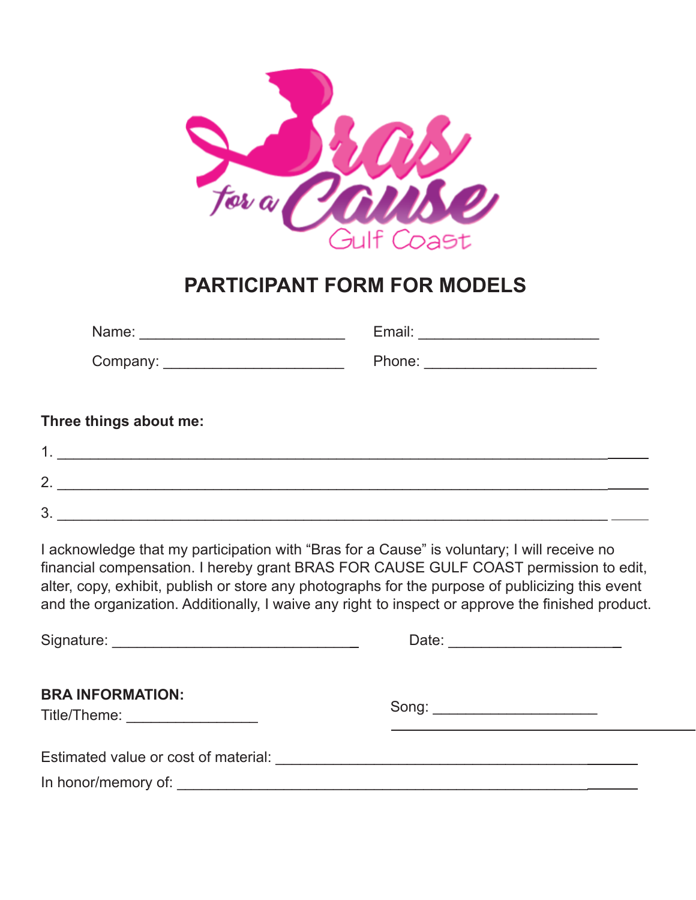

# **PARTICIPANT FORM FOR MODELS**

| Name:    | Email: |
|----------|--------|
| Company: | Phone: |

#### **Three things about me:**

| r      |  |
|--------|--|
| ◠<br>u |  |

I acknowledge that my participation with "Bras for a Cause" is voluntary; I will receive no financial compensation. I hereby grant BRAS FOR CAUSE GULF COAST permission to edit, alter, copy, exhibit, publish or store any photographs for the purpose of publicizing this event and the organization. Additionally, I waive any right to inspect or approve the finished product.

Signature: \_\_\_\_\_\_\_\_\_\_\_\_\_\_\_\_\_\_\_\_\_\_\_\_\_\_\_\_\_ Date: \_\_\_\_\_\_\_\_\_\_\_\_\_\_\_\_\_\_\_\_ **BRA INFORMATION:** Title/Theme: Song: \_\_\_\_\_\_\_\_\_\_\_\_\_\_\_\_\_\_\_\_ Estimated value or cost of material: \_\_\_\_\_\_\_\_\_\_\_\_\_\_\_\_\_\_\_\_\_\_\_\_\_\_\_\_\_\_\_\_\_\_\_\_\_\_ In honor/memory of: \_\_\_\_\_\_\_\_\_\_\_\_\_\_\_\_\_\_\_\_\_\_\_\_\_\_\_\_\_\_\_\_\_\_\_\_\_\_\_\_\_\_\_\_\_\_\_\_\_\_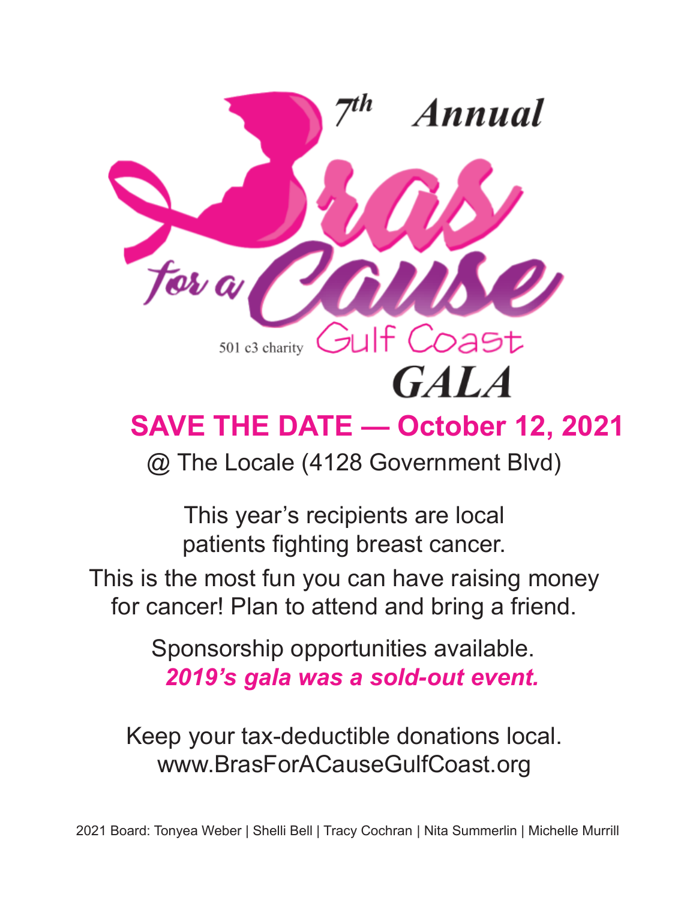

@ The Locale (4128 Government Blvd)

This year's recipients are local patients fighting breast cancer.

This is the most fun you can have raising money for cancer! Plan to attend and bring a friend.

> Sponsorship opportunities available. *2019's gala was a sold-out event.*

Keep your tax-deductible donations local. [www.BrasForACauseGulfCoast.org](http://www.brasforacausegulfcoast.org/)